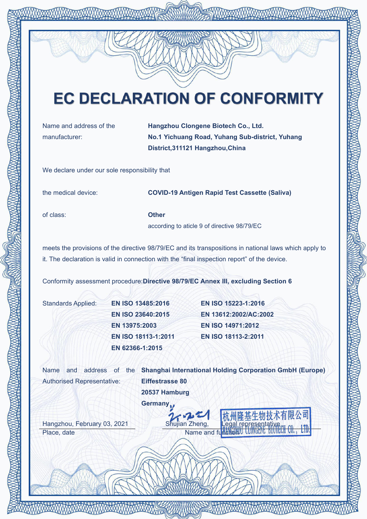# **EC DECLARATION OF CONFORMITY**

Name and address of the manufacturer:

Hangzhou Clongene Biotech Co., Ltd. No.1 Yichuang Road, Yuhang Sub-district, Yuhang District,311121 Hangzhou,China

We declare under our sole responsibility that

the medical device: COVID-19 Antigen Rapid Test Cassette (Saliva)

of class: Other

according to aticle 9 of directive 98/79/EC

meets the provisions of the directive 98/79/EC and its transpositions in national laws which apply to it. The declaration is valid in connection with the "final inspection report" of the device.

Conformity assessment procedure:Directive 98/79/EC Annex III, excluding Section 6

| Standards Applied: | <b>EN ISO 13485:20</b>  |
|--------------------|-------------------------|
|                    | <b>EN ISO 23640:20</b>  |
|                    | EN 13975:2003           |
|                    | <b>EN ISO 18113-1:2</b> |
|                    | EN 62366-1:2015         |

Standards Applied: EN ISO 13485:2016 EN ISO 15223-1:2016 EN ISO 23640:2015 EN 13612:2002/AC:2002 EN 13975:2003 EN ISO 14971:2012 EN ISO 18113-1:2011 EN ISO 18113-2:2011

Authorised Representative:

Name and address of the Shanghai International Holding Corporation GmbH (Europe) Eiffestrasse 80 20537 Hamburg

Germany.

Hangzhou, February 03, 2021 Shujian Zheng, Place, date Name and function United Students and Function Cumulation Cumulation Cumulation Cumulation Cumulation Cumulation Cumulation Cumulation Cumulation Cumulation Cumulation Cumulation Cumulation Cumulation Cumulatio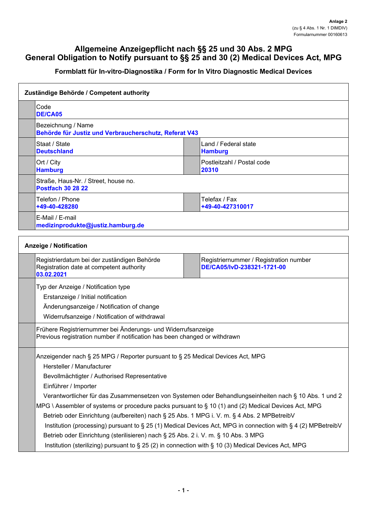## **Allgemeine Anzeigepflicht nach §§ 25 und 30 Abs. 2 MPG General Obligation to Notify pursuant to §§ 25 and 30 (2) Medical Devices Act, MPG**

## **Formblatt für In-vitro-Diagnostika / Form for In Vitro Diagnostic Medical Devices**

| Zuständige Behörde / Competent authority                                                               |                                                                                                                                            |  |  |
|--------------------------------------------------------------------------------------------------------|--------------------------------------------------------------------------------------------------------------------------------------------|--|--|
| Code<br><b>DE/CA05</b>                                                                                 |                                                                                                                                            |  |  |
| Bezeichnung / Name<br>Behörde für Justiz und Verbraucherschutz, Referat V43                            |                                                                                                                                            |  |  |
| Staat / State<br><b>Deutschland</b>                                                                    | Land / Federal state<br><b>Hamburg</b>                                                                                                     |  |  |
| Ort / City<br><b>Hamburg</b>                                                                           | Postleitzahl / Postal code<br>20310                                                                                                        |  |  |
| Straße, Haus-Nr. / Street, house no.<br><b>Postfach 30 28 22</b>                                       |                                                                                                                                            |  |  |
| Telefon / Phone<br>+49-40-428280                                                                       | Telefax / Fax<br>+49-40-427310017                                                                                                          |  |  |
| E-Mail / E-mail<br>medizinprodukte@justiz.hamburg.de                                                   |                                                                                                                                            |  |  |
|                                                                                                        |                                                                                                                                            |  |  |
| <b>Anzeige / Notification</b>                                                                          |                                                                                                                                            |  |  |
| Registrierdatum bei der zuständigen Behörde<br>Registration date at competent authority<br>03.02.2021  | Registriernummer / Registration number<br>DE/CA05/IvD-238321-1721-00                                                                       |  |  |
| Typ der Anzeige / Notification type                                                                    |                                                                                                                                            |  |  |
| Erstanzeige / Initial notification                                                                     |                                                                                                                                            |  |  |
| Änderungsanzeige / Notification of change                                                              |                                                                                                                                            |  |  |
| Widerrufsanzeige / Notification of withdrawal                                                          |                                                                                                                                            |  |  |
|                                                                                                        | Frühere Registriernummer bei Änderungs- und Widerrufsanzeige<br>Previous registration number if notification has been changed or withdrawn |  |  |
|                                                                                                        | Anzeigender nach § 25 MPG / Reporter pursuant to § 25 Medical Devices Act, MPG                                                             |  |  |
| Hersteller / Manufacturer                                                                              |                                                                                                                                            |  |  |
| Bevollmächtigter / Authorised Representative                                                           |                                                                                                                                            |  |  |
| Einführer / Importer                                                                                   |                                                                                                                                            |  |  |
| Verantwortlicher für das Zusammensetzen von Systemen oder Behandlungseinheiten nach § 10 Abs. 1 und 2  |                                                                                                                                            |  |  |
| MPG \ Assembler of systems or procedure packs pursuant to $\S$ 10 (1) and (2) Medical Devices Act, MPG |                                                                                                                                            |  |  |
|                                                                                                        | Betrieb oder Einrichtung (aufbereiten) nach § 25 Abs. 1 MPG i. V. m. § 4 Abs. 2 MPBetreibV                                                 |  |  |
|                                                                                                        | Institution (processing) pursuant to § 25 (1) Medical Devices Act, MPG in connection with § 4 (2) MPBetreibV                               |  |  |
| Betrieb oder Einrichtung (sterilisieren) nach § 25 Abs. 2 i. V. m. § 10 Abs. 3 MPG                     |                                                                                                                                            |  |  |
| Institution (sterilizing) pursuant to § 25 (2) in connection with § 10 (3) Medical Devices Act, MPG    |                                                                                                                                            |  |  |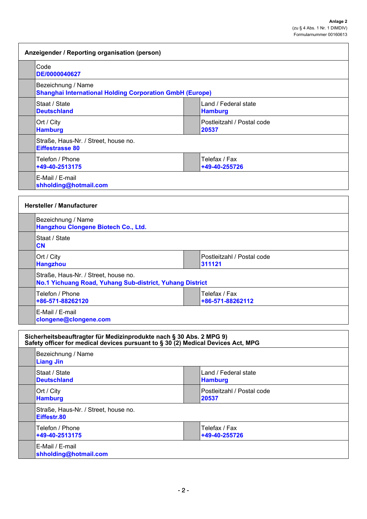h

| Anzeigender / Reporting organisation (person)                                                                                                           |                                                                 |                                        |  |  |
|---------------------------------------------------------------------------------------------------------------------------------------------------------|-----------------------------------------------------------------|----------------------------------------|--|--|
| Code<br>DE/0000040627                                                                                                                                   |                                                                 |                                        |  |  |
| Bezeichnung / Name                                                                                                                                      | <b>Shanghai International Holding Corporation GmbH (Europe)</b> |                                        |  |  |
| Staat / State<br><b>Deutschland</b>                                                                                                                     |                                                                 | Land / Federal state<br><b>Hamburg</b> |  |  |
| Ort / City<br><b>Hamburg</b>                                                                                                                            |                                                                 | Postleitzahl / Postal code<br>20537    |  |  |
| Straße, Haus-Nr. / Street, house no.<br><b>Eiffestrasse 80</b>                                                                                          |                                                                 |                                        |  |  |
| Telefon / Phone<br>+49-40-2513175                                                                                                                       |                                                                 | Telefax / Fax<br>+49-40-255726         |  |  |
| E-Mail / E-mail<br>shholding@hotmail.com                                                                                                                |                                                                 |                                        |  |  |
| <b>Hersteller / Manufacturer</b>                                                                                                                        |                                                                 |                                        |  |  |
| Bezeichnung / Name<br>Hangzhou Clongene Biotech Co., Ltd.                                                                                               |                                                                 |                                        |  |  |
| Staat / State<br><b>CN</b>                                                                                                                              |                                                                 |                                        |  |  |
| Ort / City<br><b>Hangzhou</b>                                                                                                                           |                                                                 | Postleitzahl / Postal code<br>311121   |  |  |
| Straße, Haus-Nr. / Street, house no.                                                                                                                    | No.1 Yichuang Road, Yuhang Sub-district, Yuhang District        |                                        |  |  |
| Telefon / Phone<br>+86-571-88262120                                                                                                                     | Telefax / Fax<br>+86-571-88262112                               |                                        |  |  |
| E-Mail / E-mail<br>clongene@clongene.com                                                                                                                |                                                                 |                                        |  |  |
| Sicherheitsbeauftragter für Medizinprodukte nach § 30 Abs. 2 MPG 9)<br>Safety officer for medical devices pursuant to § 30 (2) Medical Devices Act, MPG |                                                                 |                                        |  |  |
| Bezeichnung / Name<br><b>Liang Jin</b>                                                                                                                  |                                                                 |                                        |  |  |
| Staat / State<br><b>Deutschland</b>                                                                                                                     |                                                                 | Land / Federal state<br><b>Hamburg</b> |  |  |
| Ort / City<br><b>Hamburg</b>                                                                                                                            |                                                                 | Postleitzahl / Postal code<br>20537    |  |  |
| Straße, Haus-Nr. / Street, house no.<br>Eiffestr.80                                                                                                     |                                                                 |                                        |  |  |
| Telefon / Phone<br>+49-40-2513175                                                                                                                       |                                                                 | Telefax / Fax<br>+49-40-255726         |  |  |
| E-Mail / E-mail<br>shholding@hotmail.com                                                                                                                |                                                                 |                                        |  |  |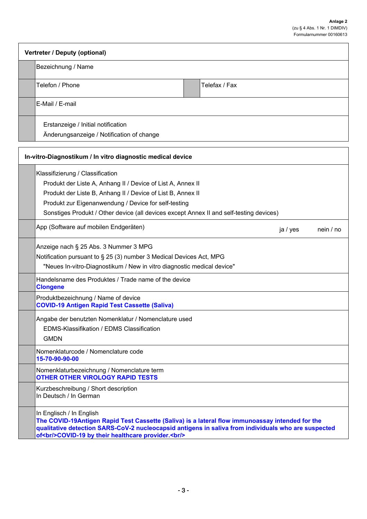| Vertreter / Deputy (optional) |                                                                                 |  |               |
|-------------------------------|---------------------------------------------------------------------------------|--|---------------|
|                               | Bezeichnung / Name                                                              |  |               |
|                               | Telefon / Phone                                                                 |  | Telefax / Fax |
|                               | E-Mail / E-mail                                                                 |  |               |
|                               | Erstanzeige / Initial notification<br>Änderungsanzeige / Notification of change |  |               |

| Klassifizierung / Classification                                                                                                                                                                                                                                                            |          |           |
|---------------------------------------------------------------------------------------------------------------------------------------------------------------------------------------------------------------------------------------------------------------------------------------------|----------|-----------|
| Produkt der Liste A, Anhang II / Device of List A, Annex II                                                                                                                                                                                                                                 |          |           |
| Produkt der Liste B, Anhang II / Device of List B, Annex II                                                                                                                                                                                                                                 |          |           |
| Produkt zur Eigenanwendung / Device for self-testing                                                                                                                                                                                                                                        |          |           |
| Sonstiges Produkt / Other device (all devices except Annex II and self-testing devices)                                                                                                                                                                                                     |          |           |
| App (Software auf mobilen Endgeräten)                                                                                                                                                                                                                                                       | ja / yes | nein / no |
| Anzeige nach § 25 Abs. 3 Nummer 3 MPG                                                                                                                                                                                                                                                       |          |           |
| Notification pursuant to § 25 (3) number 3 Medical Devices Act, MPG                                                                                                                                                                                                                         |          |           |
| "Neues In-vitro-Diagnostikum / New in vitro diagnostic medical device"                                                                                                                                                                                                                      |          |           |
| Handelsname des Produktes / Trade name of the device<br><b>Clongene</b>                                                                                                                                                                                                                     |          |           |
| Produktbezeichnung / Name of device<br><b>COVID-19 Antigen Rapid Test Cassette (Saliva)</b>                                                                                                                                                                                                 |          |           |
| Angabe der benutzten Nomenklatur / Nomenclature used                                                                                                                                                                                                                                        |          |           |
| EDMS-Klassifikation / EDMS Classification                                                                                                                                                                                                                                                   |          |           |
| <b>GMDN</b>                                                                                                                                                                                                                                                                                 |          |           |
| Nomenklaturcode / Nomenclature code<br>15-70-90-90-00                                                                                                                                                                                                                                       |          |           |
| Nomenklaturbezeichnung / Nomenclature term<br><b>OTHER OTHER VIROLOGY RAPID TESTS</b>                                                                                                                                                                                                       |          |           |
| Kurzbeschreibung / Short description<br>In Deutsch / In German                                                                                                                                                                                                                              |          |           |
| In Englisch / In English<br>The COVID-19Antigen Rapid Test Cassette (Saliva) is a lateral flow immunoassay intended for the<br>qualitative detection SARS-CoV-2 nucleocapsid antigens in saliva from individuals who are suspected<br>of<br>coVID-19 by their healthcare provider.<br>>hr/> |          |           |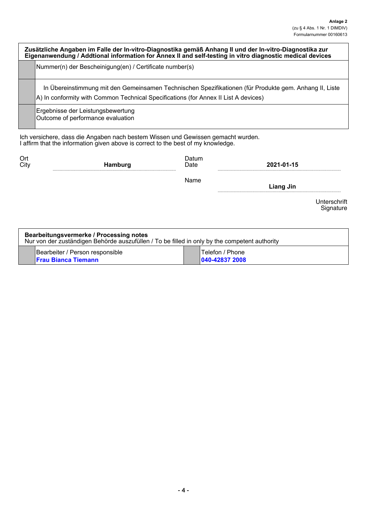| Zusätzliche Angaben im Falle der In-vitro-Diagnostika gemäß Anhang II und der In-vitro-Diagnostika zur<br>Eigenanwendung / Addtional information for Annex II and self-testing in vitro diagnostic medical devices |                                                                                                                                                                                               |  |  |
|--------------------------------------------------------------------------------------------------------------------------------------------------------------------------------------------------------------------|-----------------------------------------------------------------------------------------------------------------------------------------------------------------------------------------------|--|--|
|                                                                                                                                                                                                                    | Nummer(n) der Bescheinigung(en) / Certificate number(s)                                                                                                                                       |  |  |
|                                                                                                                                                                                                                    | In Übereinstimmung mit den Gemeinsamen Technischen Spezifikationen (für Produkte gem. Anhang II, Liste<br>A) In conformity with Common Technical Specifications (for Annex II List A devices) |  |  |
|                                                                                                                                                                                                                    | Ergebnisse der Leistungsbewertung<br>Outcome of performance evaluation                                                                                                                        |  |  |

Ich versichere, dass die Angaben nach bestem Wissen und Gewissen gemacht wurden. I affirm that the information given above is correct to the best of my knowledge.

| Ort  | <b>Hamburg</b> | Datum | 2021-01-15 |  |
|------|----------------|-------|------------|--|
| City |                | Date  |            |  |
|      |                | Name  | Liang Jin  |  |

Unterschrift Signature

| Bearbeitungsvermerke / Processing notes<br>Nur von der zuständigen Behörde auszufüllen / To be filled in only by the competent authority |                                                               |  |                                                 |
|------------------------------------------------------------------------------------------------------------------------------------------|---------------------------------------------------------------|--|-------------------------------------------------|
|                                                                                                                                          | Bearbeiter / Person responsible<br><b>Trau Bianca Tiemann</b> |  | <sup>1</sup> Telefon / Phone<br>1040-42837 2008 |